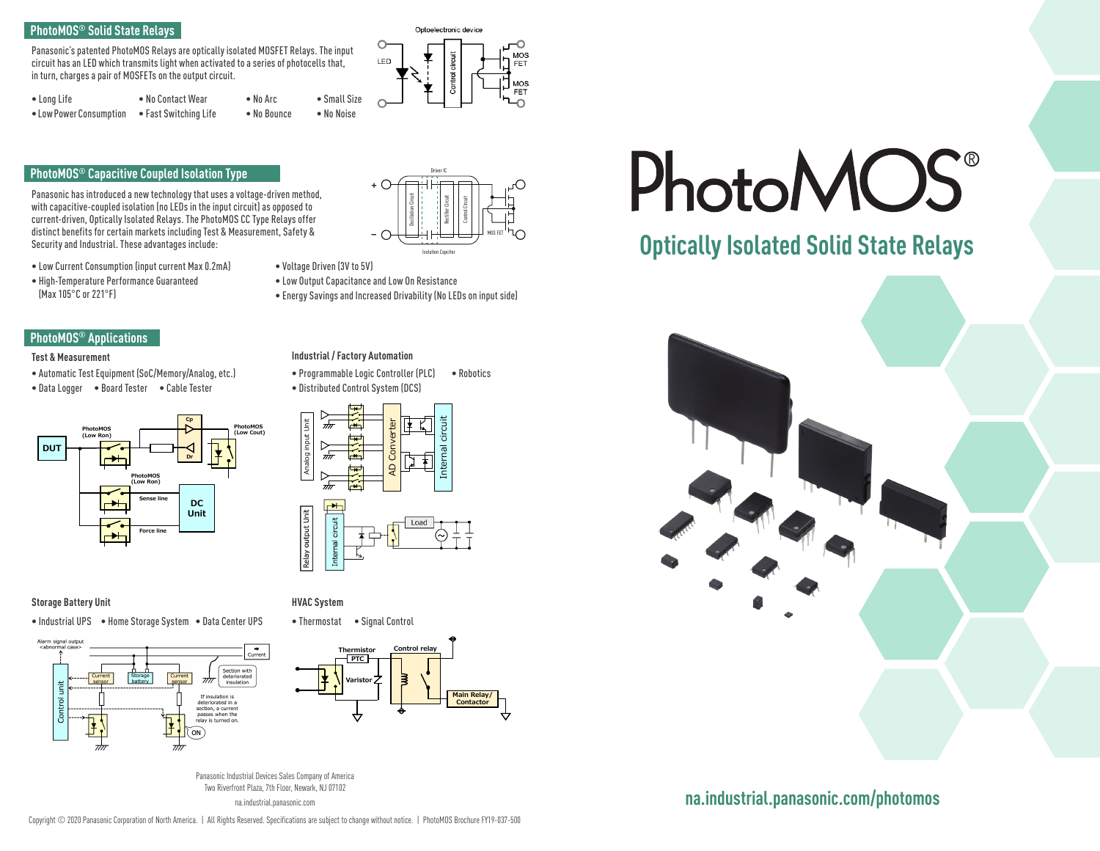# **PhotoMOS® Solid State Relays**

Panasonic's patented PhotoMOS Relays are optically isolated MOSFET Relays. The input circuit has an LED which transmits light when activated to a series of photocells that, in turn, charges a pair of MOSFETs on the output circuit.

| $\bullet$ Long Life     | • No Contact Wear     | $\bullet$ No Arc | $\bullet$ Small Size |
|-------------------------|-----------------------|------------------|----------------------|
| • Low Power Consumption | • Fast Switching Life | • No Bounce      | • No Noise           |

# **PhotoMOS® Capacitive Coupled Isolation Type**

Panasonic has introduced a new technology that uses a voltage-driven method, with capacitive-coupled isolation (no LEDs in the input circuit) as opposed to current-driven, Optically Isolated Relays. The PhotoMOS CC Type Relays offer distinct benefits for certain markets including Test & Measurement, Safety & Security and Industrial. These advantages include:

- Low Current Consumption (input current Max 0.2mA)
- High-Temperature Performance Guaranteed (Max 105°C or 221°F)



### **Test & Measurement**

- Automatic Test Equipment (SoC/Memory/Analog, etc.)
- Data Logger Board Tester Cable Tester



## **Storage Battery Unit HVAC System**

• Industrial UPS • Home Storage System • Data Center UPS







Optoelectronic device

MOS

EE1 MOS

- Voltage Driven (3V to 5V)
- Low Output Capacitance and Low On Resistance

C

LED

• Energy Savings and Increased Drivability (No LEDs on input side)

# **Industrial / Factory Automation**

• Programmable Logic Controller (PLC) • Robotics • Distributed Control System (DCS)



• Thermostat • Signal Control



Panasonic Industrial Devices Sales Company of America Two Riverfront Plaza, 7th Floor, Newark, NJ 07102 na.industrial.panasonic.com

# **PhotoMOS**

# **Optically Isolated Solid State Relays**



# **na.industrial.panasonic.com/photomos**